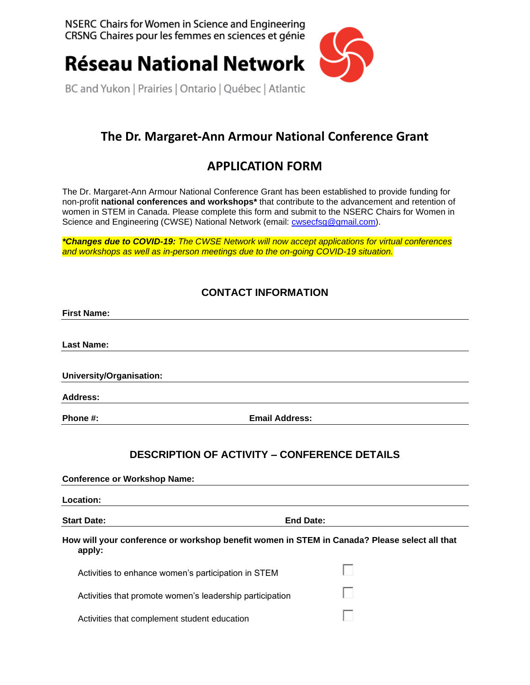NSERC Chairs for Women in Science and Engineering CRSNG Chaires pour les femmes en sciences et génie



**Réseau National Network** 

BC and Yukon | Prairies | Ontario | Québec | Atlantic

# **The Dr. Margaret-Ann Armour National Conference Grant**

## **APPLICATION FORM**

The Dr. Margaret-Ann Armour National Conference Grant has been established to provide funding for non-profit **national conferences and workshops\*** that contribute to the advancement and retention of women in STEM in Canada. Please complete this form and submit to the NSERC Chairs for Women in Science and Engineering (CWSE) National Network (email: [cwsecfsg@gmail.com\)](mailto:cwsecfsg@gmail.com).

*\*Changes due to COVID-19: The CWSE Network will now accept applications for virtual conferences and workshops as well as in-person meetings due to the on-going COVID-19 situation.*

### **CONTACT INFORMATION**

| <b>First Name:</b>                                       |                                                                                              |
|----------------------------------------------------------|----------------------------------------------------------------------------------------------|
| <b>Last Name:</b>                                        |                                                                                              |
|                                                          |                                                                                              |
| University/Organisation:                                 |                                                                                              |
| <b>Address:</b>                                          |                                                                                              |
| Phone #:                                                 | <b>Email Address:</b>                                                                        |
| <b>Conference or Workshop Name:</b><br>Location:         | <b>DESCRIPTION OF ACTIVITY - CONFERENCE DETAILS</b>                                          |
|                                                          |                                                                                              |
|                                                          |                                                                                              |
| <b>Start Date:</b>                                       | <b>End Date:</b>                                                                             |
| apply:                                                   | How will your conference or workshop benefit women in STEM in Canada? Please select all that |
| Activities to enhance women's participation in STEM      |                                                                                              |
| Activities that promote women's leadership participation |                                                                                              |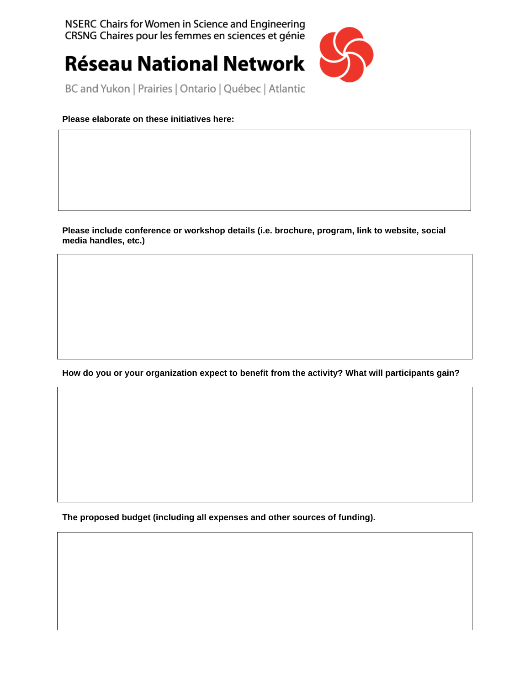NSERC Chairs for Women in Science and Engineering CRSNG Chaires pour les femmes en sciences et génie



**Réseau National Network** 

BC and Yukon | Prairies | Ontario | Québec | Atlantic

### **Please elaborate on these initiatives here:**

**Please include conference or workshop details (i.e. brochure, program, link to website, social media handles, etc.)**

**How do you or your organization expect to benefit from the activity? What will participants gain?**

**The proposed budget (including all expenses and other sources of funding).**